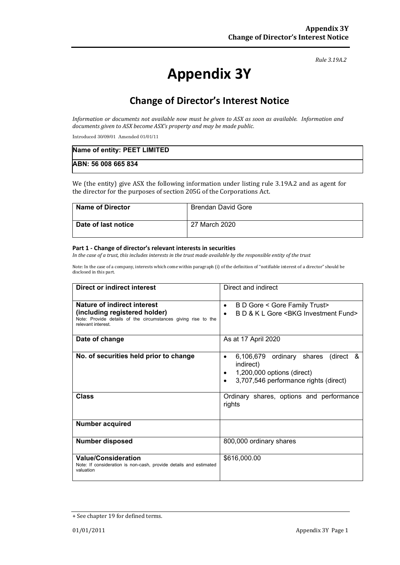#### *Rule 3.19A.2*

# **Appendix 3Y**

# **Change of Director's Interest Notice**

*Information or documents not available now must be given to ASX as soon as available. Information and documents given to ASX become ASX's property and may be made public.*

Introduced 30/09/01 Amended 01/01/11

| Name of entity: PEET LIMITED |  |
|------------------------------|--|
| ABN: 56 008 665 834          |  |

We (the entity) give ASX the following information under listing rule 3.19A.2 and as agent for the director for the purposes of section 205G of the Corporations Act.

| <b>Name of Director</b> | <b>Brendan David Gore</b> |
|-------------------------|---------------------------|
| Date of last notice     | 27 March 2020             |

#### **Part 1 - Change of director's relevant interests in securities**

*In the case of a trust, this includes interests in the trust made available by the responsible entity of the trust*

Note: In the case of a company, interests which come within paragraph (i) of the definition of "notifiable interest of a director" should be disclosed in this part.

| <b>Direct or indirect interest</b>                                                                                   | Direct and indirect                                                                                                                          |  |
|----------------------------------------------------------------------------------------------------------------------|----------------------------------------------------------------------------------------------------------------------------------------------|--|
| Nature of indirect interest                                                                                          | B D Gore < Gore Family Trust><br>٠                                                                                                           |  |
| (including registered holder)<br>Note: Provide details of the circumstances giving rise to the<br>relevant interest. | B D & K L Gore < BKG Investment Fund>                                                                                                        |  |
| Date of change                                                                                                       | As at 17 April 2020                                                                                                                          |  |
| No. of securities held prior to change                                                                               | 6,106,679 ordinary shares<br>(direct &<br>$\bullet$<br>indirect)<br>1,200,000 options (direct)<br>٠<br>3,707,546 performance rights (direct) |  |
| <b>Class</b>                                                                                                         | Ordinary shares, options and performance<br>rights                                                                                           |  |
| Number acquired                                                                                                      |                                                                                                                                              |  |
| <b>Number disposed</b>                                                                                               | 800,000 ordinary shares                                                                                                                      |  |
| <b>Value/Consideration</b><br>Note: If consideration is non-cash, provide details and estimated<br>valuation         | \$616,000.00                                                                                                                                 |  |

<sup>+</sup> See chapter 19 for defined terms.